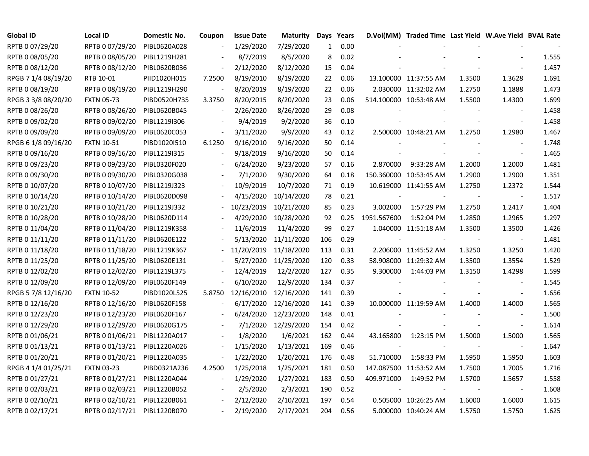| <b>Global ID</b>    | Local ID          | Domestic No. | Coupon         | <b>Issue Date</b> | <b>Maturity</b> |              | Days Years |             | D.Vol(MM) Traded Time Last Yield W.Ave Yield BVAL Rate |        |                          |       |
|---------------------|-------------------|--------------|----------------|-------------------|-----------------|--------------|------------|-------------|--------------------------------------------------------|--------|--------------------------|-------|
| RPTB 0 07/29/20     | RPTB 0 07/29/20   | PIBL0620A028 |                | 1/29/2020         | 7/29/2020       | $\mathbf{1}$ | 0.00       |             |                                                        |        |                          |       |
| RPTB 0 08/05/20     | RPTB 0 08/05/20   | PIBL1219H281 |                | 8/7/2019          | 8/5/2020        | 8            | 0.02       |             |                                                        |        |                          | 1.555 |
| RPTB 0 08/12/20     | RPTB 0 08/12/20   | PIBL0620B036 |                | 2/12/2020         | 8/12/2020       | 15           | 0.04       |             |                                                        |        |                          | 1.457 |
| RPGB 7 1/4 08/19/20 | RTB 10-01         | PIID1020H015 | 7.2500         | 8/19/2010         | 8/19/2020       | 22           | 0.06       |             | 13.100000 11:37:55 AM                                  | 1.3500 | 1.3628                   | 1.691 |
| RPTB 0 08/19/20     | RPTB 0 08/19/20   | PIBL1219H290 |                | 8/20/2019         | 8/19/2020       | 22           | 0.06       |             | 2.030000 11:32:02 AM                                   | 1.2750 | 1.1888                   | 1.473 |
| RPGB 3 3/8 08/20/20 | <b>FXTN 05-73</b> | PIBD0520H735 | 3.3750         | 8/20/2015         | 8/20/2020       | 23           | 0.06       |             | 514.100000 10:53:48 AM                                 | 1.5500 | 1.4300                   | 1.699 |
| RPTB 0 08/26/20     | RPTB 0 08/26/20   | PIBL0620B045 | $\blacksquare$ | 2/26/2020         | 8/26/2020       | 29           | 0.08       |             |                                                        |        | $\overline{\phantom{a}}$ | 1.458 |
| RPTB 0 09/02/20     | RPTB 0 09/02/20   | PIBL1219I306 |                | 9/4/2019          | 9/2/2020        | 36           | 0.10       |             |                                                        |        | $\blacksquare$           | 1.458 |
| RPTB 0 09/09/20     | RPTB 0 09/09/20   | PIBL0620C053 |                | 3/11/2020         | 9/9/2020        | 43           | 0.12       |             | 2.500000 10:48:21 AM                                   | 1.2750 | 1.2980                   | 1.467 |
| RPGB 6 1/8 09/16/20 | <b>FXTN 10-51</b> | PIBD1020I510 | 6.1250         | 9/16/2010         | 9/16/2020       | 50           | 0.14       |             |                                                        |        | $\overline{\phantom{a}}$ | 1.748 |
| RPTB 0 09/16/20     | RPTB 0 09/16/20   | PIBL1219I315 |                | 9/18/2019         | 9/16/2020       | 50           | 0.14       |             |                                                        |        | $\blacksquare$           | 1.465 |
| RPTB 0 09/23/20     | RPTB 0 09/23/20   | PIBL0320F020 |                | 6/24/2020         | 9/23/2020       | 57           | 0.16       | 2.870000    | 9:33:28 AM                                             | 1.2000 | 1.2000                   | 1.481 |
| RPTB 0 09/30/20     | RPTB 0 09/30/20   | PIBL0320G038 |                | 7/1/2020          | 9/30/2020       | 64           | 0.18       |             | 150.360000 10:53:45 AM                                 | 1.2900 | 1.2900                   | 1.351 |
| RPTB 0 10/07/20     | RPTB 0 10/07/20   | PIBL1219J323 |                | 10/9/2019         | 10/7/2020       | 71           | 0.19       |             | 10.619000 11:41:55 AM                                  | 1.2750 | 1.2372                   | 1.544 |
| RPTB 0 10/14/20     | RPTB 0 10/14/20   | PIBL0620D098 |                | 4/15/2020         | 10/14/2020      | 78           | 0.21       |             |                                                        |        | $\overline{\phantom{a}}$ | 1.517 |
| RPTB 0 10/21/20     | RPTB 0 10/21/20   | PIBL1219J332 |                | 10/23/2019        | 10/21/2020      | 85           | 0.23       | 3.002000    | 1:57:29 PM                                             | 1.2750 | 1.2417                   | 1.404 |
| RPTB 0 10/28/20     | RPTB 0 10/28/20   | PIBL0620D114 |                | 4/29/2020         | 10/28/2020      | 92           | 0.25       | 1951.567600 | 1:52:04 PM                                             | 1.2850 | 1.2965                   | 1.297 |
| RPTB 0 11/04/20     | RPTB 0 11/04/20   | PIBL1219K358 |                | 11/6/2019         | 11/4/2020       | 99           | 0.27       |             | 1.040000 11:51:18 AM                                   | 1.3500 | 1.3500                   | 1.426 |
| RPTB 0 11/11/20     | RPTB 0 11/11/20   | PIBL0620E122 |                | 5/13/2020         | 11/11/2020      | 106          | 0.29       |             |                                                        |        | $\blacksquare$           | 1.481 |
| RPTB 0 11/18/20     | RPTB 0 11/18/20   | PIBL1219K367 |                | 11/20/2019        | 11/18/2020      | 113          | 0.31       |             | 2.206000 11:45:52 AM                                   | 1.3250 | 1.3250                   | 1.420 |
| RPTB 0 11/25/20     | RPTB 0 11/25/20   | PIBL0620E131 |                | 5/27/2020         | 11/25/2020      | 120          | 0.33       |             | 58.908000 11:29:32 AM                                  | 1.3500 | 1.3554                   | 1.529 |
| RPTB 0 12/02/20     | RPTB 0 12/02/20   | PIBL1219L375 |                | 12/4/2019         | 12/2/2020       | 127          | 0.35       | 9.300000    | 1:44:03 PM                                             | 1.3150 | 1.4298                   | 1.599 |
| RPTB 0 12/09/20     | RPTB 0 12/09/20   | PIBL0620F149 |                | 6/10/2020         | 12/9/2020       | 134          | 0.37       |             |                                                        |        | $\overline{\phantom{a}}$ | 1.545 |
| RPGB 5 7/8 12/16/20 | <b>FXTN 10-52</b> | PIBD1020L525 | 5.8750         | 12/16/2010        | 12/16/2020      | 141          | 0.39       |             |                                                        |        | $\overline{\phantom{a}}$ | 1.656 |
| RPTB 0 12/16/20     | RPTB 0 12/16/20   | PIBL0620F158 |                | 6/17/2020         | 12/16/2020      | 141          | 0.39       |             | 10.000000 11:19:59 AM                                  | 1.4000 | 1.4000                   | 1.565 |
| RPTB 0 12/23/20     | RPTB 0 12/23/20   | PIBL0620F167 |                | 6/24/2020         | 12/23/2020      | 148          | 0.41       |             |                                                        |        |                          | 1.500 |
| RPTB 0 12/29/20     | RPTB 0 12/29/20   | PIBL0620G175 |                | 7/1/2020          | 12/29/2020      | 154          | 0.42       |             |                                                        |        | $\blacksquare$           | 1.614 |
| RPTB 0 01/06/21     | RPTB 0 01/06/21   | PIBL1220A017 |                | 1/8/2020          | 1/6/2021        | 162          | 0.44       | 43.165800   | 1:23:15 PM                                             | 1.5000 | 1.5000                   | 1.565 |
| RPTB 0 01/13/21     | RPTB 0 01/13/21   | PIBL1220A026 |                | 1/15/2020         | 1/13/2021       | 169          | 0.46       |             |                                                        |        | $\overline{\phantom{a}}$ | 1.647 |
| RPTB 0 01/20/21     | RPTB 0 01/20/21   | PIBL1220A035 |                | 1/22/2020         | 1/20/2021       | 176          | 0.48       | 51.710000   | 1:58:33 PM                                             | 1.5950 | 1.5950                   | 1.603 |
| RPGB 4 1/4 01/25/21 | <b>FXTN 03-23</b> | PIBD0321A236 | 4.2500         | 1/25/2018         | 1/25/2021       | 181          | 0.50       |             | 147.087500 11:53:52 AM                                 | 1.7500 | 1.7005                   | 1.716 |
| RPTB 0 01/27/21     | RPTB 0 01/27/21   | PIBL1220A044 | $\blacksquare$ | 1/29/2020         | 1/27/2021       | 183          | 0.50       | 409.971000  | 1:49:52 PM                                             | 1.5700 | 1.5657                   | 1.558 |
| RPTB 0 02/03/21     | RPTB 0 02/03/21   | PIBL1220B052 |                | 2/5/2020          | 2/3/2021        | 190          | 0.52       |             |                                                        |        | $\blacksquare$           | 1.608 |
| RPTB 0 02/10/21     | RPTB 0 02/10/21   | PIBL1220B061 |                | 2/12/2020         | 2/10/2021       | 197          | 0.54       |             | 0.505000 10:26:25 AM                                   | 1.6000 | 1.6000                   | 1.615 |
| RPTB 0 02/17/21     | RPTB 0 02/17/21   | PIBL1220B070 |                | 2/19/2020         | 2/17/2021       | 204          | 0.56       |             | 5.000000 10:40:24 AM                                   | 1.5750 | 1.5750                   | 1.625 |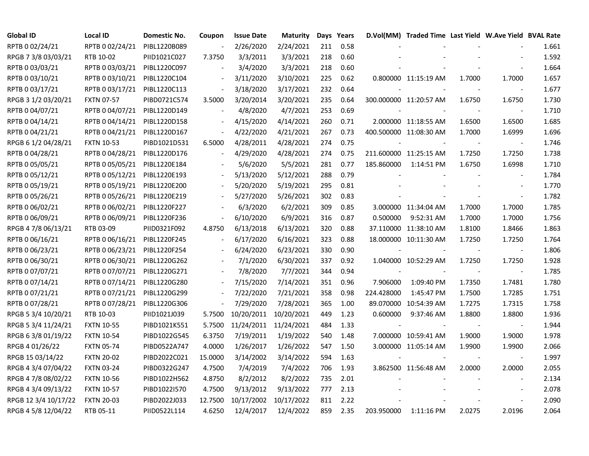| <b>Global ID</b>     | <b>Local ID</b>   | Domestic No. | Coupon                   | <b>Issue Date</b> | <b>Maturity</b> |     | Days Years |            | D.Vol(MM) Traded Time Last Yield W.Ave Yield BVAL Rate |        |                          |       |
|----------------------|-------------------|--------------|--------------------------|-------------------|-----------------|-----|------------|------------|--------------------------------------------------------|--------|--------------------------|-------|
| RPTB 0 02/24/21      | RPTB 0 02/24/21   | PIBL1220B089 | $\overline{\phantom{a}}$ | 2/26/2020         | 2/24/2021       | 211 | 0.58       |            |                                                        |        |                          | 1.661 |
| RPGB 7 3/8 03/03/21  | RTB 10-02         | PIID1021C027 | 7.3750                   | 3/3/2011          | 3/3/2021        | 218 | 0.60       |            |                                                        |        |                          | 1.592 |
| RPTB 0 03/03/21      | RPTB 0 03/03/21   | PIBL1220C097 |                          | 3/4/2020          | 3/3/2021        | 218 | 0.60       |            |                                                        |        |                          | 1.664 |
| RPTB 0 03/10/21      | RPTB 0 03/10/21   | PIBL1220C104 |                          | 3/11/2020         | 3/10/2021       | 225 | 0.62       |            | 0.800000 11:15:19 AM                                   | 1.7000 | 1.7000                   | 1.657 |
| RPTB 0 03/17/21      | RPTB 0 03/17/21   | PIBL1220C113 | $\overline{\phantom{a}}$ | 3/18/2020         | 3/17/2021       | 232 | 0.64       |            |                                                        |        | $\blacksquare$           | 1.677 |
| RPGB 3 1/2 03/20/21  | <b>FXTN 07-57</b> | PIBD0721C574 | 3.5000                   | 3/20/2014         | 3/20/2021       | 235 | 0.64       |            | 300.000000 11:20:57 AM                                 | 1.6750 | 1.6750                   | 1.730 |
| RPTB 0 04/07/21      | RPTB 0 04/07/21   | PIBL1220D149 | $\blacksquare$           | 4/8/2020          | 4/7/2021        | 253 | 0.69       |            |                                                        |        | $\blacksquare$           | 1.710 |
| RPTB 0 04/14/21      | RPTB 0 04/14/21   | PIBL1220D158 |                          | 4/15/2020         | 4/14/2021       | 260 | 0.71       |            | 2.000000 11:18:55 AM                                   | 1.6500 | 1.6500                   | 1.685 |
| RPTB 0 04/21/21      | RPTB 0 04/21/21   | PIBL1220D167 | $\blacksquare$           | 4/22/2020         | 4/21/2021       | 267 | 0.73       |            | 400.500000 11:08:30 AM                                 | 1.7000 | 1.6999                   | 1.696 |
| RPGB 6 1/2 04/28/21  | <b>FXTN 10-53</b> | PIBD1021D531 | 6.5000                   | 4/28/2011         | 4/28/2021       | 274 | 0.75       |            |                                                        |        |                          | 1.746 |
| RPTB 0 04/28/21      | RPTB 0 04/28/21   | PIBL1220D176 | $\blacksquare$           | 4/29/2020         | 4/28/2021       | 274 | 0.75       |            | 211.600000 11:25:15 AM                                 | 1.7250 | 1.7250                   | 1.738 |
| RPTB 0 05/05/21      | RPTB 0 05/05/21   | PIBL1220E184 |                          | 5/6/2020          | 5/5/2021        | 281 | 0.77       | 185.860000 | 1:14:51 PM                                             | 1.6750 | 1.6998                   | 1.710 |
| RPTB 0 05/12/21      | RPTB 0 05/12/21   | PIBL1220E193 |                          | 5/13/2020         | 5/12/2021       | 288 | 0.79       |            |                                                        |        | $\overline{\phantom{a}}$ | 1.784 |
| RPTB 0 05/19/21      | RPTB 0 05/19/21   | PIBL1220E200 |                          | 5/20/2020         | 5/19/2021       | 295 | 0.81       |            |                                                        |        | $\sim$                   | 1.770 |
| RPTB 0 05/26/21      | RPTB 0 05/26/21   | PIBL1220E219 |                          | 5/27/2020         | 5/26/2021       | 302 | 0.83       |            |                                                        |        |                          | 1.782 |
| RPTB 0 06/02/21      | RPTB 0 06/02/21   | PIBL1220F227 |                          | 6/3/2020          | 6/2/2021        | 309 | 0.85       |            | 3.000000 11:34:04 AM                                   | 1.7000 | 1.7000                   | 1.785 |
| RPTB 0 06/09/21      | RPTB 0 06/09/21   | PIBL1220F236 | $\overline{\phantom{a}}$ | 6/10/2020         | 6/9/2021        | 316 | 0.87       | 0.500000   | 9:52:31 AM                                             | 1.7000 | 1.7000                   | 1.756 |
| RPGB 4 7/8 06/13/21  | RTB 03-09         | PIID0321F092 | 4.8750                   | 6/13/2018         | 6/13/2021       | 320 | 0.88       |            | 37.110000 11:38:10 AM                                  | 1.8100 | 1.8466                   | 1.863 |
| RPTB 0 06/16/21      | RPTB 0 06/16/21   | PIBL1220F245 | $\overline{\phantom{a}}$ | 6/17/2020         | 6/16/2021       | 323 | 0.88       |            | 18.000000 10:11:30 AM                                  | 1.7250 | 1.7250                   | 1.764 |
| RPTB 0 06/23/21      | RPTB 0 06/23/21   | PIBL1220F254 | $\blacksquare$           | 6/24/2020         | 6/23/2021       | 330 | 0.90       |            |                                                        |        | $\sim$                   | 1.806 |
| RPTB 0 06/30/21      | RPTB 0 06/30/21   | PIBL1220G262 |                          | 7/1/2020          | 6/30/2021       | 337 | 0.92       |            | 1.040000 10:52:29 AM                                   | 1.7250 | 1.7250                   | 1.928 |
| RPTB 0 07/07/21      | RPTB 0 07/07/21   | PIBL1220G271 |                          | 7/8/2020          | 7/7/2021        | 344 | 0.94       |            |                                                        |        | $\sim$                   | 1.785 |
| RPTB 0 07/14/21      | RPTB 0 07/14/21   | PIBL1220G280 |                          | 7/15/2020         | 7/14/2021       | 351 | 0.96       | 7.906000   | 1:09:40 PM                                             | 1.7350 | 1.7481                   | 1.780 |
| RPTB 0 07/21/21      | RPTB 0 07/21/21   | PIBL1220G299 |                          | 7/22/2020         | 7/21/2021       | 358 | 0.98       | 224.428000 | 1:45:47 PM                                             | 1.7500 | 1.7285                   | 1.751 |
| RPTB 0 07/28/21      | RPTB 0 07/28/21   | PIBL1220G306 | $\overline{\phantom{a}}$ | 7/29/2020         | 7/28/2021       | 365 | 1.00       |            | 89.070000 10:54:39 AM                                  | 1.7275 | 1.7315                   | 1.758 |
| RPGB 5 3/4 10/20/21  | RTB 10-03         | PIID1021J039 | 5.7500                   | 10/20/2011        | 10/20/2021      | 449 | 1.23       | 0.600000   | 9:37:46 AM                                             | 1.8800 | 1.8800                   | 1.936 |
| RPGB 5 3/4 11/24/21  | <b>FXTN 10-55</b> | PIBD1021K551 | 5.7500                   | 11/24/2011        | 11/24/2021      | 484 | 1.33       |            |                                                        |        | $\blacksquare$           | 1.944 |
| RPGB 63/8 01/19/22   | <b>FXTN 10-54</b> | PIBD1022G545 | 6.3750                   | 7/19/2011         | 1/19/2022       | 540 | 1.48       |            | 7.000000 10:59:41 AM                                   | 1.9000 | 1.9000                   | 1.978 |
| RPGB 4 01/26/22      | <b>FXTN 05-74</b> | PIBD0522A747 | 4.0000                   | 1/26/2017         | 1/26/2022       | 547 | 1.50       |            | 3.000000 11:05:14 AM                                   | 1.9900 | 1.9900                   | 2.066 |
| RPGB 15 03/14/22     | <b>FXTN 20-02</b> | PIBD2022C021 | 15.0000                  | 3/14/2002         | 3/14/2022       | 594 | 1.63       |            |                                                        |        | $\blacksquare$           | 1.997 |
| RPGB 4 3/4 07/04/22  | <b>FXTN 03-24</b> | PIBD0322G247 | 4.7500                   | 7/4/2019          | 7/4/2022        | 706 | 1.93       |            | 3.862500 11:56:48 AM                                   | 2.0000 | 2.0000                   | 2.055 |
| RPGB 4 7/8 08/02/22  | <b>FXTN 10-56</b> | PIBD1022H562 | 4.8750                   | 8/2/2012          | 8/2/2022        | 735 | 2.01       |            |                                                        |        | $\blacksquare$           | 2.134 |
| RPGB 4 3/4 09/13/22  | <b>FXTN 10-57</b> | PIBD1022I570 | 4.7500                   | 9/13/2012         | 9/13/2022       | 777 | 2.13       |            |                                                        |        |                          | 2.078 |
| RPGB 12 3/4 10/17/22 | <b>FXTN 20-03</b> | PIBD2022J033 | 12.7500                  | 10/17/2002        | 10/17/2022      | 811 | 2.22       |            |                                                        |        |                          | 2.090 |
| RPGB 4 5/8 12/04/22  | RTB 05-11         | PIID0522L114 | 4.6250                   | 12/4/2017         | 12/4/2022       | 859 | 2.35       | 203.950000 | 1:11:16 PM                                             | 2.0275 | 2.0196                   | 2.064 |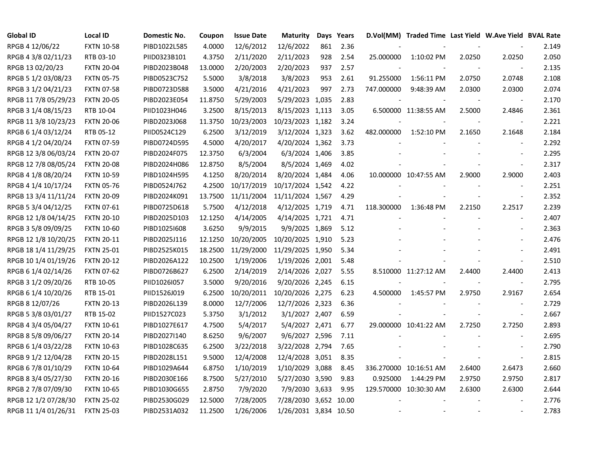| <b>Global ID</b>     | <b>Local ID</b>   | Domestic No. | Coupon  | <b>Issue Date</b> | <b>Maturity</b>       |     | Days Years |            | D.Vol(MM) Traded Time Last Yield W.Ave Yield BVAL Rate |        |                          |       |
|----------------------|-------------------|--------------|---------|-------------------|-----------------------|-----|------------|------------|--------------------------------------------------------|--------|--------------------------|-------|
| RPGB 4 12/06/22      | <b>FXTN 10-58</b> | PIBD1022L585 | 4.0000  | 12/6/2012         | 12/6/2022             | 861 | 2.36       |            |                                                        |        |                          | 2.149 |
| RPGB 4 3/8 02/11/23  | RTB 03-10         | PIID0323B101 | 4.3750  | 2/11/2020         | 2/11/2023             | 928 | 2.54       | 25.000000  | 1:10:02 PM                                             | 2.0250 | 2.0250                   | 2.050 |
| RPGB 13 02/20/23     | <b>FXTN 20-04</b> | PIBD2023B048 | 13.0000 | 2/20/2003         | 2/20/2023             | 937 | 2.57       |            |                                                        |        | $\sim$                   | 2.135 |
| RPGB 5 1/2 03/08/23  | <b>FXTN 05-75</b> | PIBD0523C752 | 5.5000  | 3/8/2018          | 3/8/2023              | 953 | 2.61       | 91.255000  | 1:56:11 PM                                             | 2.0750 | 2.0748                   | 2.108 |
| RPGB 3 1/2 04/21/23  | <b>FXTN 07-58</b> | PIBD0723D588 | 3.5000  | 4/21/2016         | 4/21/2023             | 997 | 2.73       | 747.000000 | 9:48:39 AM                                             | 2.0300 | 2.0300                   | 2.074 |
| RPGB 11 7/8 05/29/23 | <b>FXTN 20-05</b> | PIBD2023E054 | 11.8750 | 5/29/2003         | 5/29/2023 1,035       |     | 2.83       |            |                                                        |        | $\blacksquare$           | 2.170 |
| RPGB 3 1/4 08/15/23  | RTB 10-04         | PIID1023H046 | 3.2500  | 8/15/2013         | 8/15/2023 1,113       |     | 3.05       |            | 6.500000 11:38:55 AM                                   | 2.5000 | 2.4846                   | 2.361 |
| RPGB 11 3/8 10/23/23 | <b>FXTN 20-06</b> | PIBD2023J068 | 11.3750 | 10/23/2003        | 10/23/2023 1,182      |     | 3.24       |            |                                                        |        | $\overline{\phantom{a}}$ | 2.221 |
| RPGB 6 1/4 03/12/24  | RTB 05-12         | PIID0524C129 | 6.2500  | 3/12/2019         | 3/12/2024 1,323       |     | 3.62       | 482.000000 | 1:52:10 PM                                             | 2.1650 | 2.1648                   | 2.184 |
| RPGB 4 1/2 04/20/24  | <b>FXTN 07-59</b> | PIBD0724D595 | 4.5000  | 4/20/2017         | 4/20/2024 1,362       |     | 3.73       |            |                                                        |        | $\sim$                   | 2.292 |
| RPGB 12 3/8 06/03/24 | <b>FXTN 20-07</b> | PIBD2024F075 | 12.3750 | 6/3/2004          | 6/3/2024 1,406        |     | 3.85       |            |                                                        |        | $\sim$                   | 2.295 |
| RPGB 12 7/8 08/05/24 | <b>FXTN 20-08</b> | PIBD2024H086 | 12.8750 | 8/5/2004          | 8/5/2024 1,469        |     | 4.02       |            |                                                        |        | $\sim$                   | 2.317 |
| RPGB 4 1/8 08/20/24  | <b>FXTN 10-59</b> | PIBD1024H595 | 4.1250  | 8/20/2014         | 8/20/2024 1,484       |     | 4.06       |            | 10.000000 10:47:55 AM                                  | 2.9000 | 2.9000                   | 2.403 |
| RPGB 4 1/4 10/17/24  | <b>FXTN 05-76</b> | PIBD0524J762 | 4.2500  | 10/17/2019        | 10/17/2024 1,542      |     | 4.22       |            |                                                        |        | $\overline{\phantom{a}}$ | 2.251 |
| RPGB 13 3/4 11/11/24 | <b>FXTN 20-09</b> | PIBD2024K091 | 13.7500 | 11/11/2004        | 11/11/2024 1,567      |     | 4.29       |            |                                                        |        | $\overline{\phantom{a}}$ | 2.352 |
| RPGB 5 3/4 04/12/25  | <b>FXTN 07-61</b> | PIBD0725D618 | 5.7500  | 4/12/2018         | 4/12/2025 1,719       |     | 4.71       | 118.300000 | 1:36:48 PM                                             | 2.2150 | 2.2517                   | 2.239 |
| RPGB 12 1/8 04/14/25 | <b>FXTN 20-10</b> | PIBD2025D103 | 12.1250 | 4/14/2005         | 4/14/2025 1,721       |     | 4.71       |            |                                                        |        |                          | 2.407 |
| RPGB 3 5/8 09/09/25  | <b>FXTN 10-60</b> | PIBD1025I608 | 3.6250  | 9/9/2015          | 9/9/2025 1,869        |     | 5.12       |            |                                                        |        |                          | 2.363 |
| RPGB 12 1/8 10/20/25 | <b>FXTN 20-11</b> | PIBD2025J116 | 12.1250 | 10/20/2005        | 10/20/2025 1,910      |     | 5.23       |            |                                                        |        | $\blacksquare$           | 2.476 |
| RPGB 18 1/4 11/29/25 | <b>FXTN 25-01</b> | PIBD2525K015 | 18.2500 | 11/29/2000        | 11/29/2025 1,950      |     | 5.34       |            |                                                        |        | $\blacksquare$           | 2.491 |
| RPGB 10 1/4 01/19/26 | <b>FXTN 20-12</b> | PIBD2026A122 | 10.2500 | 1/19/2006         | 1/19/2026 2,001       |     | 5.48       |            |                                                        |        | $\blacksquare$           | 2.510 |
| RPGB 6 1/4 02/14/26  | <b>FXTN 07-62</b> | PIBD0726B627 | 6.2500  | 2/14/2019         | 2/14/2026 2,027       |     | 5.55       |            | 8.510000 11:27:12 AM                                   | 2.4400 | 2.4400                   | 2.413 |
| RPGB 3 1/2 09/20/26  | RTB 10-05         | PIID1026I057 | 3.5000  | 9/20/2016         | 9/20/2026 2,245       |     | 6.15       |            |                                                        |        | $\overline{\phantom{a}}$ | 2.795 |
| RPGB 6 1/4 10/20/26  | RTB 15-01         | PIID1526J019 | 6.2500  | 10/20/2011        | 10/20/2026 2,275      |     | 6.23       | 4.500000   | 1:45:57 PM                                             | 2.9750 | 2.9167                   | 2.654 |
| RPGB 8 12/07/26      | <b>FXTN 20-13</b> | PIBD2026L139 | 8.0000  | 12/7/2006         | 12/7/2026 2,323       |     | 6.36       |            |                                                        |        | $\overline{\phantom{a}}$ | 2.729 |
| RPGB 5 3/8 03/01/27  | RTB 15-02         | PIID1527C023 | 5.3750  | 3/1/2012          | 3/1/2027 2,407        |     | 6.59       |            |                                                        |        | $\sim$                   | 2.667 |
| RPGB 4 3/4 05/04/27  | <b>FXTN 10-61</b> | PIBD1027E617 | 4.7500  | 5/4/2017          | 5/4/2027 2,471        |     | 6.77       |            | 29.000000 10:41:22 AM                                  | 2.7250 | 2.7250                   | 2.893 |
| RPGB 8 5/8 09/06/27  | <b>FXTN 20-14</b> | PIBD2027I140 | 8.6250  | 9/6/2007          | 9/6/2027 2,596        |     | 7.11       |            |                                                        |        |                          | 2.695 |
| RPGB 6 1/4 03/22/28  | <b>FXTN 10-63</b> | PIBD1028C635 | 6.2500  | 3/22/2018         | 3/22/2028 2,794       |     | 7.65       |            |                                                        |        | $\overline{\phantom{a}}$ | 2.790 |
| RPGB 9 1/2 12/04/28  | <b>FXTN 20-15</b> | PIBD2028L151 | 9.5000  | 12/4/2008         | 12/4/2028 3,051       |     | 8.35       |            |                                                        |        | $\overline{\phantom{a}}$ | 2.815 |
| RPGB 67/8 01/10/29   | <b>FXTN 10-64</b> | PIBD1029A644 | 6.8750  | 1/10/2019         | 1/10/2029 3,088       |     | 8.45       |            | 336.270000 10:16:51 AM                                 | 2.6400 | 2.6473                   | 2.660 |
| RPGB 8 3/4 05/27/30  | <b>FXTN 20-16</b> | PIBD2030E166 | 8.7500  | 5/27/2010         | 5/27/2030 3,590       |     | 9.83       | 0.925000   | 1:44:29 PM                                             | 2.9750 | 2.9750                   | 2.817 |
| RPGB 2 7/8 07/09/30  | <b>FXTN 10-65</b> | PIBD1030G655 | 2.8750  | 7/9/2020          | 7/9/2030 3,633        |     | 9.95       |            | 129.570000 10:30:30 AM                                 | 2.6300 | 2.6300                   | 2.644 |
| RPGB 12 1/2 07/28/30 | <b>FXTN 25-02</b> | PIBD2530G029 | 12.5000 | 7/28/2005         | 7/28/2030 3,652 10.00 |     |            |            |                                                        |        |                          | 2.776 |
| RPGB 11 1/4 01/26/31 | <b>FXTN 25-03</b> | PIBD2531A032 | 11.2500 | 1/26/2006         | 1/26/2031 3,834 10.50 |     |            |            |                                                        |        |                          | 2.783 |